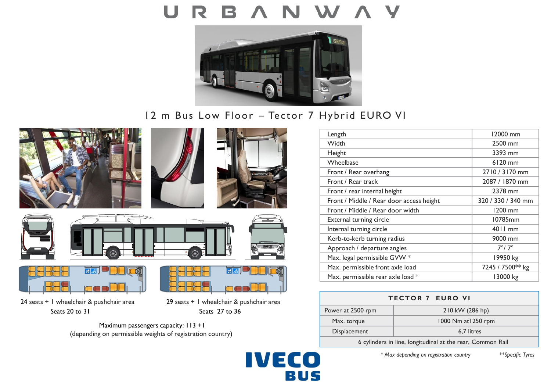

# 12 m Bus Low Floor – Tector 7 Hybrid EURO VI

**IVECO** 

BUS











24 seats + 1 wheelchair & pushchair area 29 seats + 1 wheelchair & pushchair area Seats 20 to 31 Seats 27 to 36



Maximum passengers capacity: 113 +1 (depending on permissible weights of registration country)



| <b>TECTOR 7 EURO VI</b>                                    |                     |
|------------------------------------------------------------|---------------------|
| Power at 2500 rpm                                          | 210 kW (286 hp)     |
| Max. torque                                                | 1000 Nm at 1250 rpm |
| Displacement                                               | 6.7 litres          |
| 6 cylinders in line, longitudinal at the rear, Common Rail |                     |